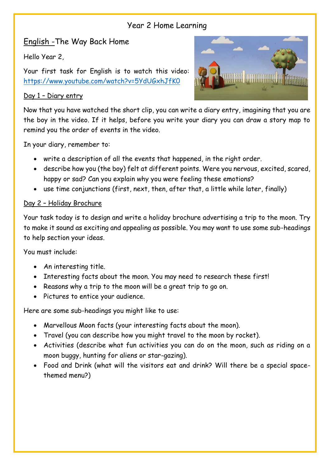## Year 2 Home Learning

# English -The Way Back Home

Hello Year 2,

Your first task for English is to watch this video: <https://www.youtube.com/watch?v=5YdUGxhJfK0>

### Day 1 – Diary entry



Now that you have watched the short clip, you can write a diary entry, imagining that you are the boy in the video. If it helps, before you write your diary you can draw a story map to remind you the order of events in the video.

In your diary, remember to:

- write a description of all the events that happened, in the right order.
- describe how you (the boy) felt at different points. Were you nervous, excited, scared, happy or sad? Can you explain why you were feeling these emotions?
- use time conjunctions (first, next, then, after that, a little while later, finally)

### Day 2 – Holiday Brochure

Your task today is to design and write a holiday brochure advertising a trip to the moon. Try to make it sound as exciting and appealing as possible. You may want to use some sub-headings to help section your ideas.

You must include:

- An interesting title.
- Interesting facts about the moon. You may need to research these first!
- Reasons why a trip to the moon will be a great trip to go on.
- Pictures to entice your audience.

Here are some sub-headings you might like to use:

- Marvellous Moon facts (your interesting facts about the moon).
- Travel (you can describe how you might travel to the moon by rocket).
- Activities (describe what fun activities you can do on the moon, such as riding on a moon buggy, hunting for aliens or star-gazing).
- Food and Drink (what will the visitors eat and drink? Will there be a special spacethemed menu?)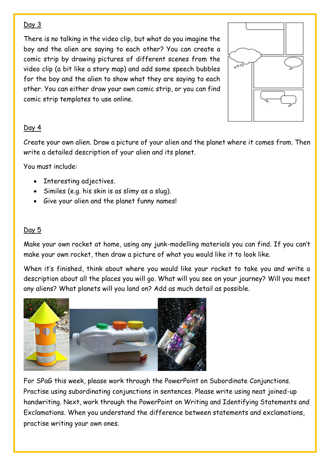#### Day 3

There is no talking in the video clip, but what do you imagine the boy and the alien are saying to each other? You can create a comic strip by drawing pictures of different scenes from the video clip (a bit like a story map) and add some speech bubbles for the boy and the alien to show what they are saying to each other. You can either draw your own comic strip, or you can find comic strip templates to use online.



### Day 4

Create your own alien. Draw a picture of your alien and the planet where it comes from. Then write a detailed description of your alien and its planet.

You must include:

- Interesting adjectives.
- Similes (e.g. his skin is as slimy as a slug).
- Give your alien and the planet funny names!

#### Day 5

Make your own rocket at home, using any junk-modelling materials you can find. If you can't make your own rocket, then draw a picture of what you would like it to look like.

When it's finished, think about where you would like your rocket to take you and write a description about all the places you will go. What will you see on your journey? Will you meet any aliens? What planets will you land on? Add as much detail as possible.



For SPaG this week, please work through the PowerPoint on Subordinate Conjunctions. Practise using subordinating conjunctions in sentences. Please write using neat joined-up handwriting. Next, work through the PowerPoint on Writing and Identifying Statements and Exclamations. When you understand the difference between statements and exclamations, practise writing your own ones.